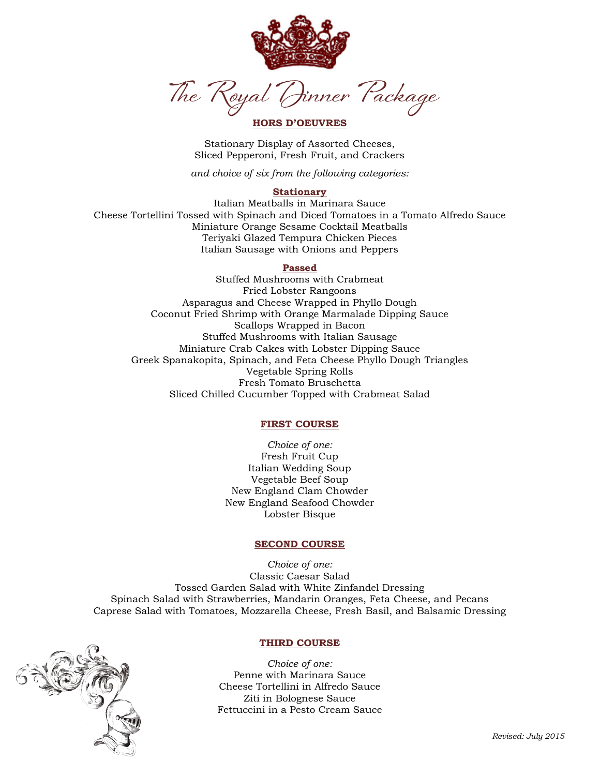

Dinner Package The Royal

# **HORS D'OEUVRES**

Stationary Display of Assorted Cheeses, Sliced Pepperoni, Fresh Fruit, and Crackers

*and choice of six from the following categories:*

### **Stationary**

Italian Meatballs in Marinara Sauce Cheese Tortellini Tossed with Spinach and Diced Tomatoes in a Tomato Alfredo Sauce Miniature Orange Sesame Cocktail Meatballs Teriyaki Glazed Tempura Chicken Pieces Italian Sausage with Onions and Peppers

## **Passed**

Stuffed Mushrooms with Crabmeat Fried Lobster Rangoons Asparagus and Cheese Wrapped in Phyllo Dough Coconut Fried Shrimp with Orange Marmalade Dipping Sauce Scallops Wrapped in Bacon Stuffed Mushrooms with Italian Sausage Miniature Crab Cakes with Lobster Dipping Sauce Greek Spanakopita, Spinach, and Feta Cheese Phyllo Dough Triangles Vegetable Spring Rolls Fresh Tomato Bruschetta Sliced Chilled Cucumber Topped with Crabmeat Salad

### **FIRST COURSE**

*Choice of one:* Fresh Fruit Cup Italian Wedding Soup Vegetable Beef Soup New England Clam Chowder New England Seafood Chowder Lobster Bisque

#### **SECOND COURSE**

*Choice of one:* Classic Caesar Salad Tossed Garden Salad with White Zinfandel Dressing Spinach Salad with Strawberries, Mandarin Oranges, Feta Cheese, and Pecans Caprese Salad with Tomatoes, Mozzarella Cheese, Fresh Basil, and Balsamic Dressing



## **THIRD COURSE**

*Choice of one:* Penne with Marinara Sauce Cheese Tortellini in Alfredo Sauce Ziti in Bolognese Sauce Fettuccini in a Pesto Cream Sauce